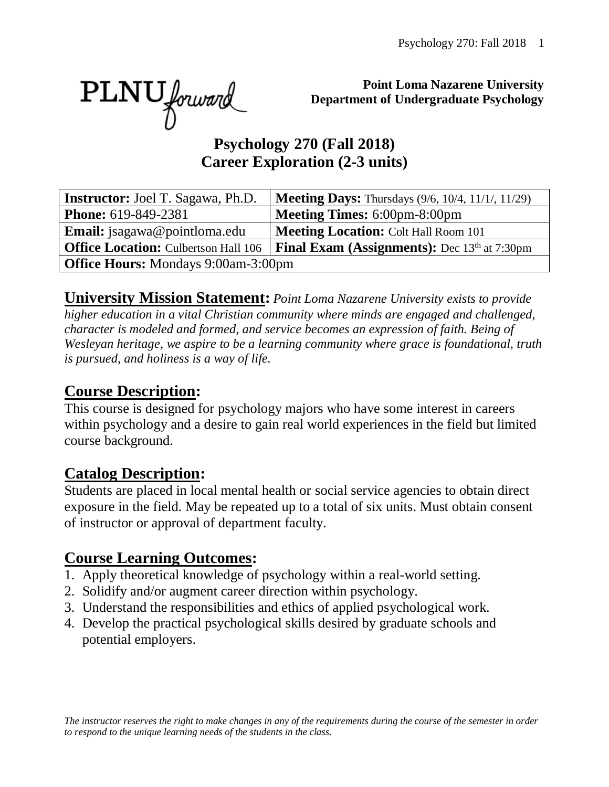PLNU forward

**Point Loma Nazarene University Department of Undergraduate Psychology**

#### **Psychology 270 (Fall 2018) Career Exploration (2-3 units)**

| <b>Instructor:</b> Joel T. Sagawa, Ph.D.    | <b>Meeting Days:</b> Thursdays (9/6, 10/4, 11/1/, 11/29) |  |  |  |
|---------------------------------------------|----------------------------------------------------------|--|--|--|
| <b>Phone:</b> 619-849-2381                  | <b>Meeting Times: 6:00pm-8:00pm</b>                      |  |  |  |
| <b>Email:</b> jsagawa@pointloma.edu         | <b>Meeting Location: Colt Hall Room 101</b>              |  |  |  |
| <b>Office Location:</b> Culbertson Hall 106 | <b>Final Exam (Assignments):</b> Dec 13th at 7:30pm      |  |  |  |
| <b>Office Hours:</b> Mondays 9:00am-3:00pm  |                                                          |  |  |  |

**University Mission Statement:** *Point Loma Nazarene University exists to provide higher education in a vital Christian community where minds are engaged and challenged, character is modeled and formed, and service becomes an expression of faith. Being of Wesleyan heritage, we aspire to be a learning community where grace is foundational, truth is pursued, and holiness is a way of life.* 

#### **Course Description:**

This course is designed for psychology majors who have some interest in careers within psychology and a desire to gain real world experiences in the field but limited course background.

#### **Catalog Description:**

Students are placed in local mental health or social service agencies to obtain direct exposure in the field. May be repeated up to a total of six units. Must obtain consent of instructor or approval of department faculty.

#### **Course Learning Outcomes:**

- 1. Apply theoretical knowledge of psychology within a real-world setting.
- 2. Solidify and/or augment career direction within psychology.
- 3. Understand the responsibilities and ethics of applied psychological work.
- 4. Develop the practical psychological skills desired by graduate schools and potential employers.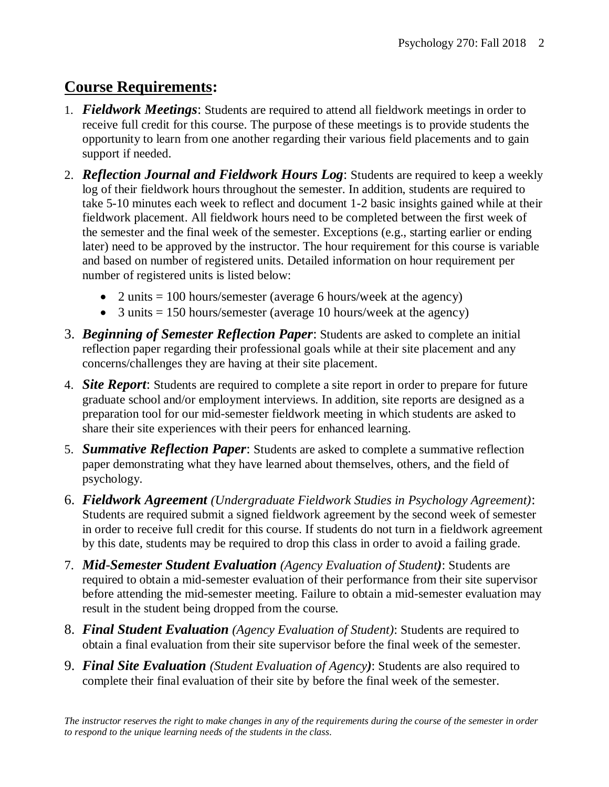# **Course Requirements:**

- 1. *Fieldwork Meetings*: Students are required to attend all fieldwork meetings in order to receive full credit for this course. The purpose of these meetings is to provide students the opportunity to learn from one another regarding their various field placements and to gain support if needed.
- 2. *Reflection Journal and Fieldwork Hours Log*: Students are required to keep a weekly log of their fieldwork hours throughout the semester. In addition, students are required to take 5-10 minutes each week to reflect and document 1-2 basic insights gained while at their fieldwork placement. All fieldwork hours need to be completed between the first week of the semester and the final week of the semester. Exceptions (e.g., starting earlier or ending later) need to be approved by the instructor. The hour requirement for this course is variable and based on number of registered units. Detailed information on hour requirement per number of registered units is listed below:
	- 2 units  $= 100$  hours/semester (average 6 hours/week at the agency)
	- 3 units  $= 150$  hours/semester (average 10 hours/week at the agency)
- 3. *Beginning of Semester Reflection Paper*: Students are asked to complete an initial reflection paper regarding their professional goals while at their site placement and any concerns/challenges they are having at their site placement.
- 4. *Site Report*: Students are required to complete a site report in order to prepare for future graduate school and/or employment interviews. In addition, site reports are designed as a preparation tool for our mid-semester fieldwork meeting in which students are asked to share their site experiences with their peers for enhanced learning.
- 5. *Summative Reflection Paper*: Students are asked to complete a summative reflection paper demonstrating what they have learned about themselves, others, and the field of psychology.
- 6. *Fieldwork Agreement (Undergraduate Fieldwork Studies in Psychology Agreement)*: Students are required submit a signed fieldwork agreement by the second week of semester in order to receive full credit for this course. If students do not turn in a fieldwork agreement by this date, students may be required to drop this class in order to avoid a failing grade.
- 7. *Mid*-*Semester Student Evaluation (Agency Evaluation of Student)*: Students are required to obtain a mid-semester evaluation of their performance from their site supervisor before attending the mid-semester meeting. Failure to obtain a mid-semester evaluation may result in the student being dropped from the course.
- 8. *Final Student Evaluation (Agency Evaluation of Student)*: Students are required to obtain a final evaluation from their site supervisor before the final week of the semester.
- 9. *Final Site Evaluation (Student Evaluation of Agency)*: Students are also required to complete their final evaluation of their site by before the final week of the semester.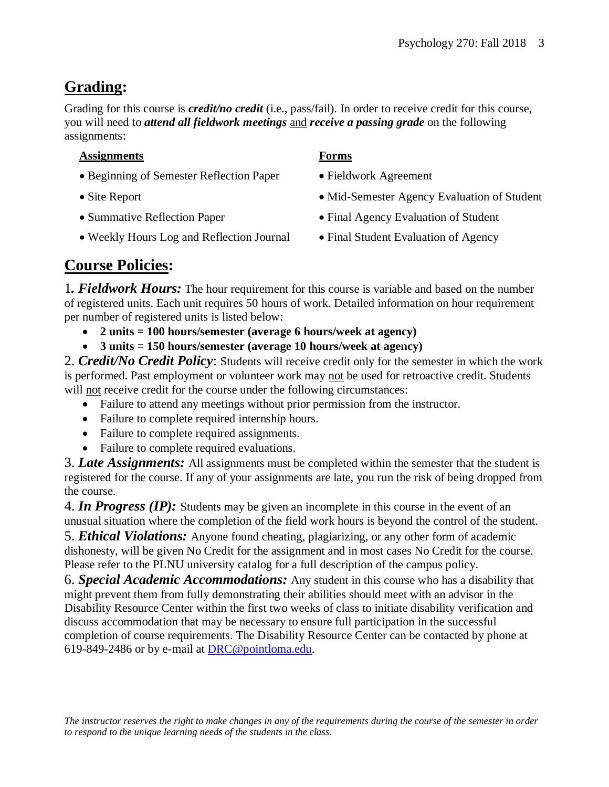# **Grading:**

Grading for this course is *credit/no credit* (i.e., pass/fail). In order to receive credit for this course, you will need to *attend all fieldwork meetings* and *receive a passing grade* on the following assignments:

#### **Assignments Forms**

- Beginning of Semester Reflection Paper Fieldwork Agreement
- 
- 
- Weekly Hours Log and Reflection Journal Final Student Evaluation of Agency
- 
- 
- Site Report Mid-Semester Agency Evaluation of Student
- Summative Reflection Paper Final Agency Evaluation of Student
	-

# **Course Policies:**

1*. Fieldwork Hours:* The hour requirement for this course is variable and based on the number of registered units. Each unit requires 50 hours of work. Detailed information on hour requirement per number of registered units is listed below:

- **2 units = 100 hours/semester (average 6 hours/week at agency)**
- **3 units = 150 hours/semester (average 10 hours/week at agency)**

2. *Credit/No Credit Policy*: Students will receive credit only for the semester in which the work is performed. Past employment or volunteer work may not be used for retroactive credit. Students will not receive credit for the course under the following circumstances:

- Failure to attend any meetings without prior permission from the instructor.
- Failure to complete required internship hours.
- Failure to complete required assignments.
- Failure to complete required evaluations.

3. *Late Assignments:* All assignments must be completed within the semester that the student is registered for the course. If any of your assignments are late, you run the risk of being dropped from the course.

4. *In Progress (IP):* Students may be given an incomplete in this course in the event of an unusual situation where the completion of the field work hours is beyond the control of the student. 5. *Ethical Violations:* Anyone found cheating, plagiarizing, or any other form of academic dishonesty, will be given No Credit for the assignment and in most cases No Credit for the course. Please refer to the PLNU university catalog for a full description of the campus policy.

6. *Special Academic Accommodations:* Any student in this course who has a disability that might prevent them from fully demonstrating their abilities should meet with an advisor in the Disability Resource Center within the first two weeks of class to initiate disability verification and discuss accommodation that may be necessary to ensure full participation in the successful completion of course requirements. The Disability Resource Center can be contacted by phone at 619-849-2486 or by e-mail at [DRC@pointloma.edu.](mailto:DRC@pointloma.edu)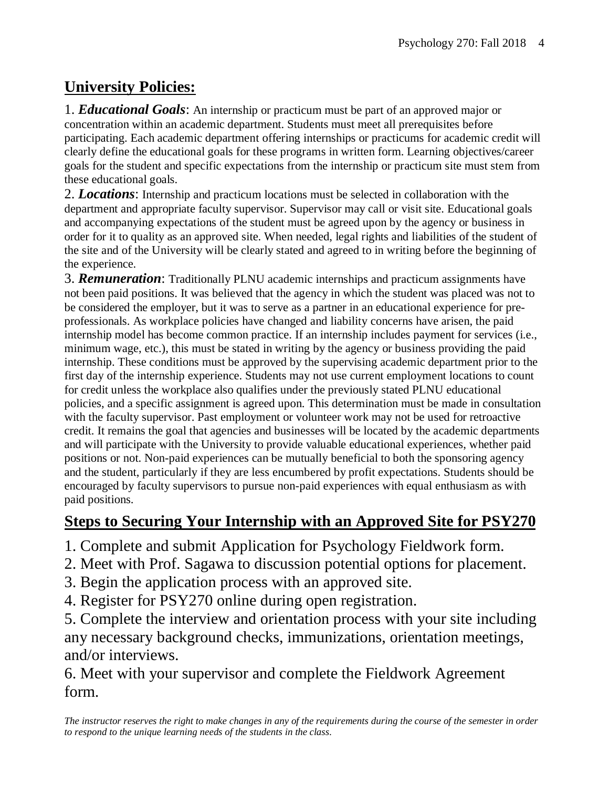# **University Policies:**

1. *Educational Goals*: An internship or practicum must be part of an approved major or concentration within an academic department. Students must meet all prerequisites before participating. Each academic department offering internships or practicums for academic credit will clearly define the educational goals for these programs in written form. Learning objectives/career goals for the student and specific expectations from the internship or practicum site must stem from these educational goals.

2. *Locations*: Internship and practicum locations must be selected in collaboration with the department and appropriate faculty supervisor. Supervisor may call or visit site. Educational goals and accompanying expectations of the student must be agreed upon by the agency or business in order for it to quality as an approved site. When needed, legal rights and liabilities of the student of the site and of the University will be clearly stated and agreed to in writing before the beginning of the experience.

3. *Remuneration*: Traditionally PLNU academic internships and practicum assignments have not been paid positions. It was believed that the agency in which the student was placed was not to be considered the employer, but it was to serve as a partner in an educational experience for preprofessionals. As workplace policies have changed and liability concerns have arisen, the paid internship model has become common practice. If an internship includes payment for services (i.e., minimum wage, etc.), this must be stated in writing by the agency or business providing the paid internship. These conditions must be approved by the supervising academic department prior to the first day of the internship experience. Students may not use current employment locations to count for credit unless the workplace also qualifies under the previously stated PLNU educational policies, and a specific assignment is agreed upon. This determination must be made in consultation with the faculty supervisor. Past employment or volunteer work may not be used for retroactive credit. It remains the goal that agencies and businesses will be located by the academic departments and will participate with the University to provide valuable educational experiences, whether paid positions or not. Non-paid experiences can be mutually beneficial to both the sponsoring agency and the student, particularly if they are less encumbered by profit expectations. Students should be encouraged by faculty supervisors to pursue non-paid experiences with equal enthusiasm as with paid positions.

## **Steps to Securing Your Internship with an Approved Site for PSY270**

- 1. Complete and submit Application for Psychology Fieldwork form.
- 2. Meet with Prof. Sagawa to discussion potential options for placement.
- 3. Begin the application process with an approved site.
- 4. Register for PSY270 online during open registration.

5. Complete the interview and orientation process with your site including any necessary background checks, immunizations, orientation meetings, and/or interviews.

6. Meet with your supervisor and complete the Fieldwork Agreement form.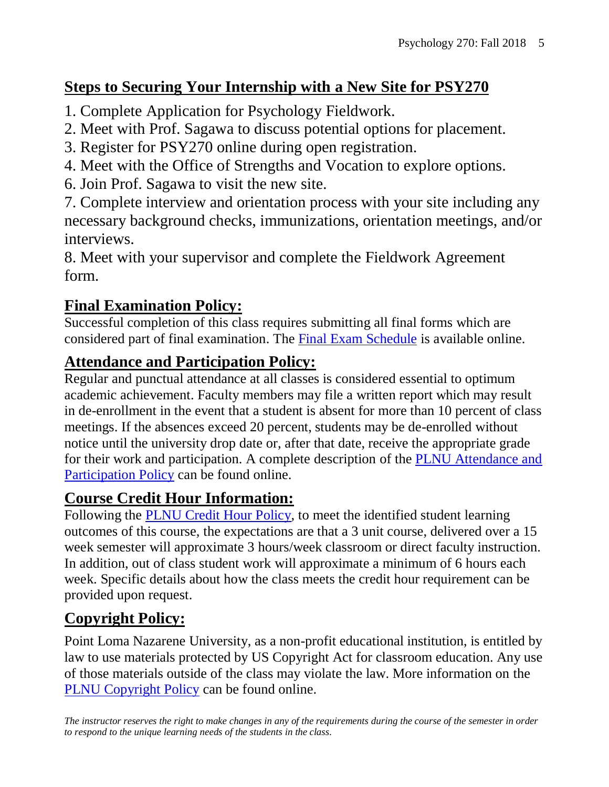# **Steps to Securing Your Internship with a New Site for PSY270**

- 1. Complete Application for Psychology Fieldwork.
- 2. Meet with Prof. Sagawa to discuss potential options for placement.
- 3. Register for PSY270 online during open registration.
- 4. Meet with the Office of Strengths and Vocation to explore options.
- 6. Join Prof. Sagawa to visit the new site.

7. Complete interview and orientation process with your site including any necessary background checks, immunizations, orientation meetings, and/or interviews.

8. Meet with your supervisor and complete the Fieldwork Agreement form.

## **Final Examination Policy:**

Successful completion of this class requires submitting all final forms which are considered part of final examination. The [Final Exam Schedule](http://www.pointloma.edu/experience/academics/class-schedules) is available online.

# **Attendance and Participation Policy:**

Regular and punctual attendance at all classes is considered essential to optimum academic achievement. Faculty members may file a written report which may result in de-enrollment in the event that a student is absent for more than 10 percent of class meetings. If the absences exceed 20 percent, students may be de-enrolled without notice until the university drop date or, after that date, receive the appropriate grade for their work and participation. A complete description of the [PLNU Attendance and](http://catalog.pointloma.edu/content.php?catoid=18&navoid=1278#Class_Attendance)  [Participation Policy](http://catalog.pointloma.edu/content.php?catoid=18&navoid=1278#Class_Attendance) can be found online.

## **Course Credit Hour Information:**

Following the [PLNU Credit Hour Policy,](http://catalog.pointloma.edu/content.php?catoid=18&navoid=1278#Credit_Hour_Definition) to meet the identified student learning outcomes of this course, the expectations are that a 3 unit course, delivered over a 15 week semester will approximate 3 hours/week classroom or direct faculty instruction. In addition, out of class student work will approximate a minimum of 6 hours each week. Specific details about how the class meets the credit hour requirement can be provided upon request.

# **Copyright Policy:**

Point Loma Nazarene University, as a non-profit educational institution, is entitled by law to use materials protected by US Copyright Act for classroom education. Any use of those materials outside of the class may violate the law. More information on the [PLNU Copyright Policy](http://libguides.pointloma.edu/content.php?pid=203591&sid=1700398) can be found online.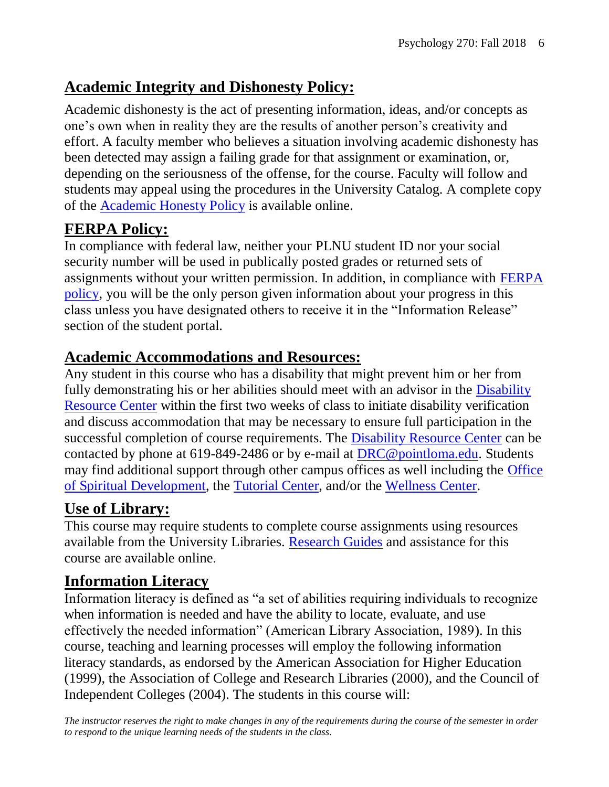#### **Academic Integrity and Dishonesty Policy:**

Academic dishonesty is the act of presenting information, ideas, and/or concepts as one's own when in reality they are the results of another person's creativity and effort. A faculty member who believes a situation involving academic dishonesty has been detected may assign a failing grade for that assignment or examination, or, depending on the seriousness of the offense, for the course. Faculty will follow and students may appeal using the procedures in the University Catalog. A complete copy of the [Academic Honesty Policy](http://catalog.pointloma.edu/content.php?catoid=18&navoid=1278#Academic_Honesty) is available online.

## **FERPA Policy:**

In compliance with federal law, neither your PLNU student ID nor your social security number will be used in publically posted grades or returned sets of assignments without your written permission. In addition, in compliance with [FERPA](http://catalog.pointloma.edu/content.php?catoid=18&navoid=1278#Education_Records__FERPA__and_Directory_Information)  [policy,](http://catalog.pointloma.edu/content.php?catoid=18&navoid=1278#Education_Records__FERPA__and_Directory_Information) you will be the only person given information about your progress in this class unless you have designated others to receive it in the "Information Release" section of the student portal.

#### **Academic Accommodations and Resources:**

Any student in this course who has a disability that might prevent him or her from fully demonstrating his or her abilities should meet with an advisor in the [Disability](http://www.pointloma.edu/experience/offices/administrative-offices/academic-advising-office/disability-resource-center)  [Resource Center](http://www.pointloma.edu/experience/offices/administrative-offices/academic-advising-office/disability-resource-center) within the first two weeks of class to initiate disability verification and discuss accommodation that may be necessary to ensure full participation in the successful completion of course requirements. The [Disability Resource Center](http://www.pointloma.edu/experience/offices/administrative-offices/academic-advising-office/disability-resource-center) can be contacted by phone at 619-849-2486 or by e-mail at [DRC@pointloma.edu.](mailto:DRC@pointloma.edu) Students may find additional support through other campus offices as well including the [Office](https://www.pointloma.edu/offices/spiritual-development)  [of Spiritual Development,](https://www.pointloma.edu/offices/spiritual-development) the [Tutorial Center,](https://www.pointloma.edu/offices/tutorial-services) and/or the [Wellness Center.](https://www.pointloma.edu/offices/wellness-center)

#### **Use of Library:**

This course may require students to complete course assignments using resources available from the University Libraries. [Research Guides](http://libguides.pointloma.edu/ResearchGuides) and assistance for this course are available online.

## **Information Literacy**

Information literacy is defined as "a set of abilities requiring individuals to recognize when information is needed and have the ability to locate, evaluate, and use effectively the needed information" (American Library Association, 1989). In this course, teaching and learning processes will employ the following information literacy standards, as endorsed by the American Association for Higher Education (1999), the Association of College and Research Libraries (2000), and the Council of Independent Colleges (2004). The students in this course will: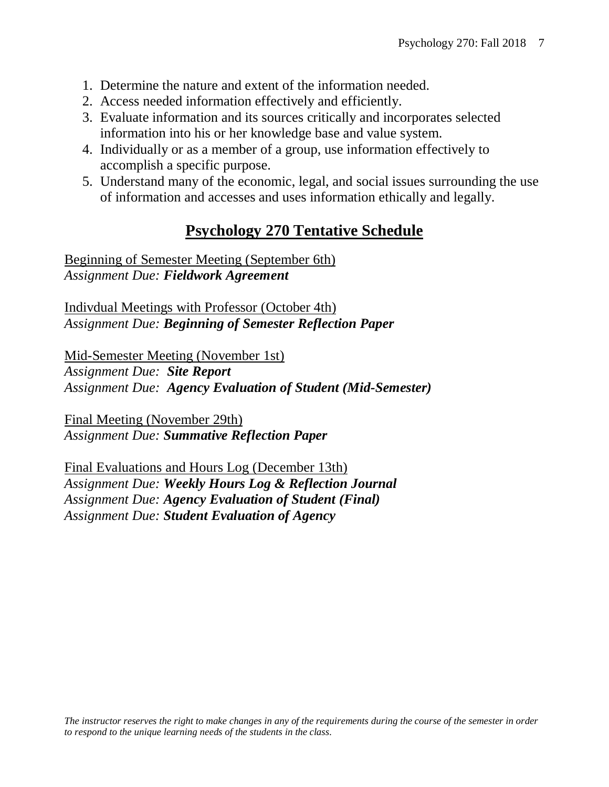- 1. Determine the nature and extent of the information needed.
- 2. Access needed information effectively and efficiently.
- 3. Evaluate information and its sources critically and incorporates selected information into his or her knowledge base and value system.
- 4. Individually or as a member of a group, use information effectively to accomplish a specific purpose.
- 5. Understand many of the economic, legal, and social issues surrounding the use of information and accesses and uses information ethically and legally.

#### **Psychology 270 Tentative Schedule**

Beginning of Semester Meeting (September 6th) *Assignment Due: Fieldwork Agreement*

Indivdual Meetings with Professor (October 4th) *Assignment Due: Beginning of Semester Reflection Paper*

Mid-Semester Meeting (November 1st) *Assignment Due: Site Report Assignment Due: Agency Evaluation of Student (Mid-Semester)*

Final Meeting (November 29th) *Assignment Due: Summative Reflection Paper*

Final Evaluations and Hours Log (December 13th) *Assignment Due: Weekly Hours Log & Reflection Journal Assignment Due: Agency Evaluation of Student (Final) Assignment Due: Student Evaluation of Agency*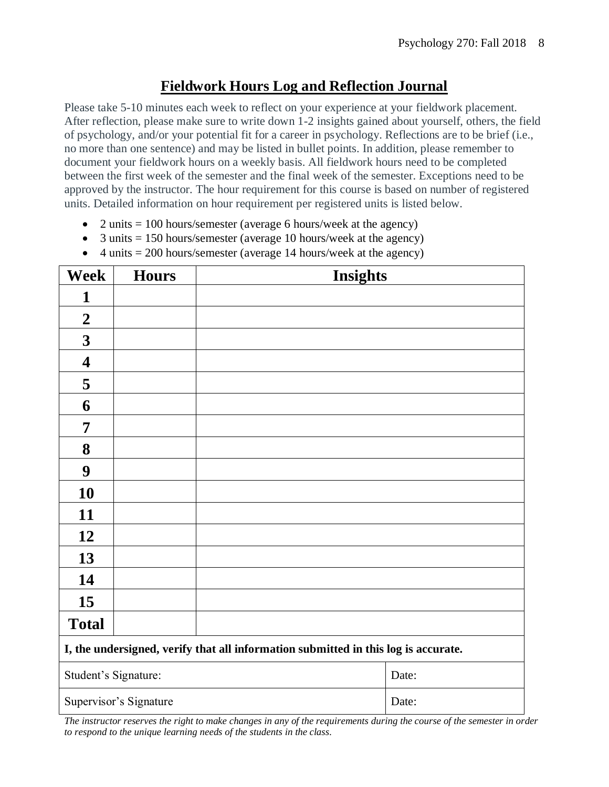#### **Fieldwork Hours Log and Reflection Journal**

Please take 5-10 minutes each week to reflect on your experience at your fieldwork placement. After reflection, please make sure to write down 1-2 insights gained about yourself, others, the field of psychology, and/or your potential fit for a career in psychology. Reflections are to be brief (i.e., no more than one sentence) and may be listed in bullet points. In addition, please remember to document your fieldwork hours on a weekly basis. All fieldwork hours need to be completed between the first week of the semester and the final week of the semester. Exceptions need to be approved by the instructor. The hour requirement for this course is based on number of registered units. Detailed information on hour requirement per registered units is listed below.

- 2 units  $= 100$  hours/semester (average 6 hours/week at the agency)
- 3 units  $= 150$  hours/semester (average 10 hours/week at the agency)
- 4 units  $= 200$  hours/semester (average 14 hours/week at the agency)

| <b>Week</b>                                                                        | <b>Hours</b> | <b>Insights</b> |  |
|------------------------------------------------------------------------------------|--------------|-----------------|--|
| 1                                                                                  |              |                 |  |
| $\boldsymbol{2}$                                                                   |              |                 |  |
| $\mathbf{3}$                                                                       |              |                 |  |
| 4                                                                                  |              |                 |  |
| 5                                                                                  |              |                 |  |
| 6                                                                                  |              |                 |  |
| 7                                                                                  |              |                 |  |
| 8                                                                                  |              |                 |  |
| $\boldsymbol{9}$                                                                   |              |                 |  |
| 10                                                                                 |              |                 |  |
| 11                                                                                 |              |                 |  |
| 12                                                                                 |              |                 |  |
| 13                                                                                 |              |                 |  |
| 14                                                                                 |              |                 |  |
| 15                                                                                 |              |                 |  |
| <b>Total</b>                                                                       |              |                 |  |
| I, the undersigned, verify that all information submitted in this log is accurate. |              |                 |  |
| Student's Signature:                                                               |              | Date:           |  |
| Supervisor's Signature                                                             |              | Date:           |  |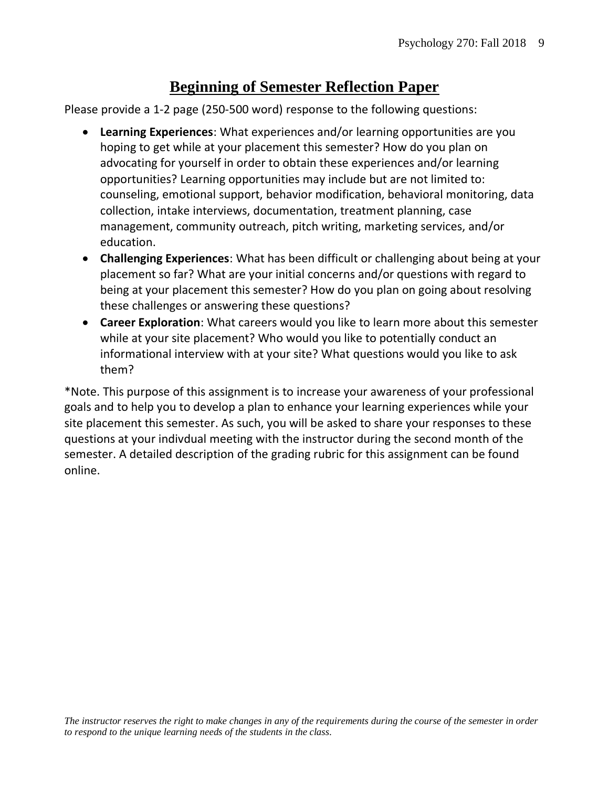#### **Beginning of Semester Reflection Paper**

Please provide a 1-2 page (250-500 word) response to the following questions:

- **Learning Experiences**: What experiences and/or learning opportunities are you hoping to get while at your placement this semester? How do you plan on advocating for yourself in order to obtain these experiences and/or learning opportunities? Learning opportunities may include but are not limited to: counseling, emotional support, behavior modification, behavioral monitoring, data collection, intake interviews, documentation, treatment planning, case management, community outreach, pitch writing, marketing services, and/or education.
- **Challenging Experiences**: What has been difficult or challenging about being at your placement so far? What are your initial concerns and/or questions with regard to being at your placement this semester? How do you plan on going about resolving these challenges or answering these questions?
- **Career Exploration**: What careers would you like to learn more about this semester while at your site placement? Who would you like to potentially conduct an informational interview with at your site? What questions would you like to ask them?

\*Note. This purpose of this assignment is to increase your awareness of your professional goals and to help you to develop a plan to enhance your learning experiences while your site placement this semester. As such, you will be asked to share your responses to these questions at your indivdual meeting with the instructor during the second month of the semester. A detailed description of the grading rubric for this assignment can be found online.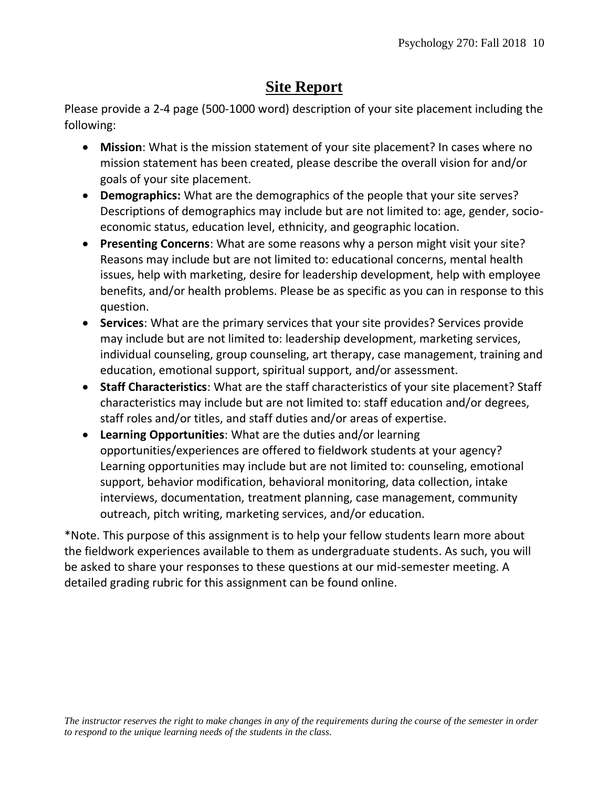#### **Site Report**

Please provide a 2-4 page (500-1000 word) description of your site placement including the following:

- **Mission**: What is the mission statement of your site placement? In cases where no mission statement has been created, please describe the overall vision for and/or goals of your site placement.
- **Demographics:** What are the demographics of the people that your site serves? Descriptions of demographics may include but are not limited to: age, gender, socioeconomic status, education level, ethnicity, and geographic location.
- **Presenting Concerns**: What are some reasons why a person might visit your site? Reasons may include but are not limited to: educational concerns, mental health issues, help with marketing, desire for leadership development, help with employee benefits, and/or health problems. Please be as specific as you can in response to this question.
- **Services**: What are the primary services that your site provides? Services provide may include but are not limited to: leadership development, marketing services, individual counseling, group counseling, art therapy, case management, training and education, emotional support, spiritual support, and/or assessment.
- **Staff Characteristics**: What are the staff characteristics of your site placement? Staff characteristics may include but are not limited to: staff education and/or degrees, staff roles and/or titles, and staff duties and/or areas of expertise.
- **Learning Opportunities**: What are the duties and/or learning opportunities/experiences are offered to fieldwork students at your agency? Learning opportunities may include but are not limited to: counseling, emotional support, behavior modification, behavioral monitoring, data collection, intake interviews, documentation, treatment planning, case management, community outreach, pitch writing, marketing services, and/or education.

\*Note. This purpose of this assignment is to help your fellow students learn more about the fieldwork experiences available to them as undergraduate students. As such, you will be asked to share your responses to these questions at our mid-semester meeting. A detailed grading rubric for this assignment can be found online.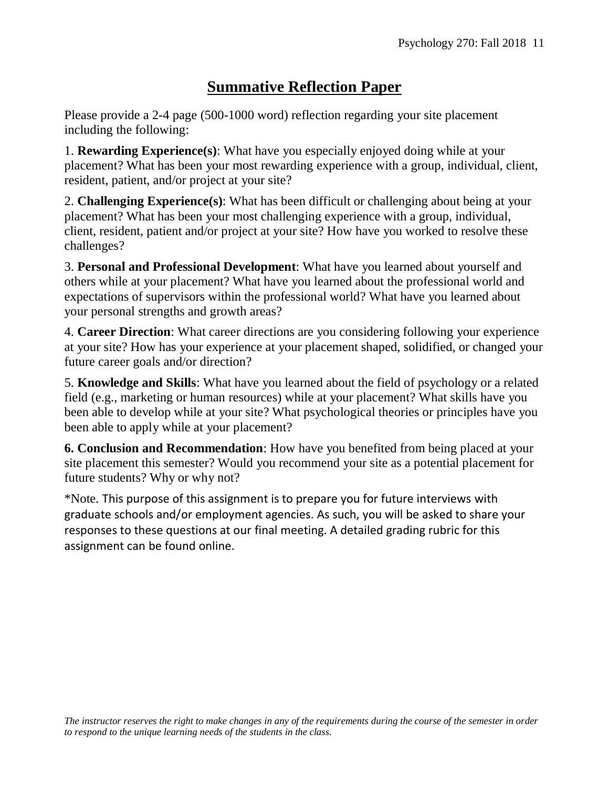#### **Summative Reflection Paper**

Please provide a 2-4 page (500-1000 word) reflection regarding your site placement including the following:

1. **Rewarding Experience(s)**: What have you especially enjoyed doing while at your placement? What has been your most rewarding experience with a group, individual, client, resident, patient, and/or project at your site?

2. **Challenging Experience(s)**: What has been difficult or challenging about being at your placement? What has been your most challenging experience with a group, individual, client, resident, patient and/or project at your site? How have you worked to resolve these challenges?

3. **Personal and Professional Development**: What have you learned about yourself and others while at your placement? What have you learned about the professional world and expectations of supervisors within the professional world? What have you learned about your personal strengths and growth areas?

4. **Career Direction**: What career directions are you considering following your experience at your site? How has your experience at your placement shaped, solidified, or changed your future career goals and/or direction?

5. **Knowledge and Skills**: What have you learned about the field of psychology or a related field (e.g., marketing or human resources) while at your placement? What skills have you been able to develop while at your site? What psychological theories or principles have you been able to apply while at your placement?

**6. Conclusion and Recommendation**: How have you benefited from being placed at your site placement this semester? Would you recommend your site as a potential placement for future students? Why or why not?

\*Note. This purpose of this assignment is to prepare you for future interviews with graduate schools and/or employment agencies. As such, you will be asked to share your responses to these questions at our final meeting. A detailed grading rubric for this assignment can be found online.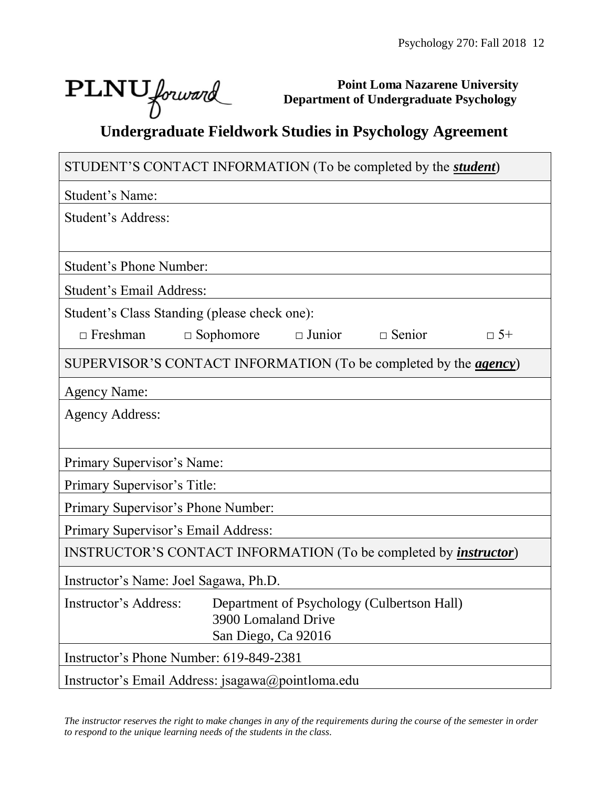٦

# PLNU forward

Г

**Point Loma Nazarene University Department of Undergraduate Psychology**

# **Undergraduate Fieldwork Studies in Psychology Agreement**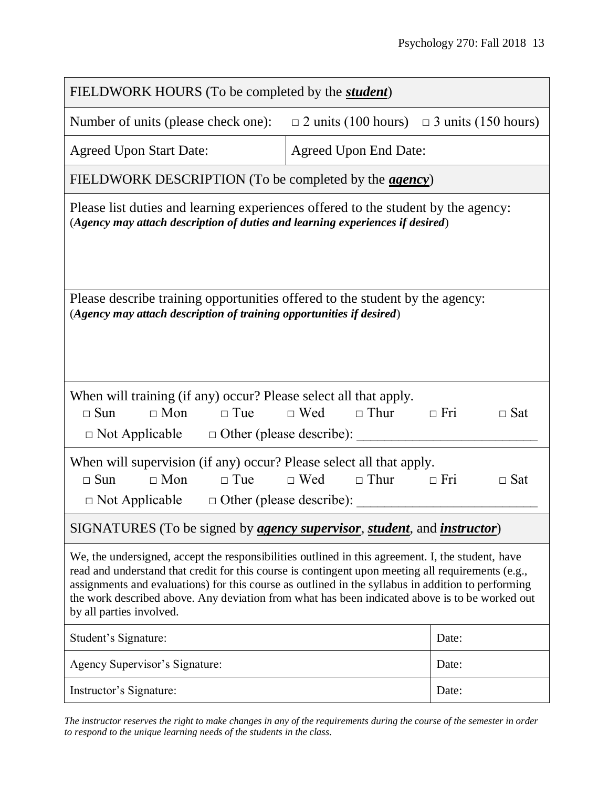| FIELDWORK HOURS (To be completed by the <i>student</i> )                                                                                                                                                                                                                                                                                                                                                                                    |                                                       |                          |  |  |  |
|---------------------------------------------------------------------------------------------------------------------------------------------------------------------------------------------------------------------------------------------------------------------------------------------------------------------------------------------------------------------------------------------------------------------------------------------|-------------------------------------------------------|--------------------------|--|--|--|
| Number of units (please check one):                                                                                                                                                                                                                                                                                                                                                                                                         | $\Box$ 2 units (100 hours) $\Box$ 3 units (150 hours) |                          |  |  |  |
| <b>Agreed Upon Start Date:</b>                                                                                                                                                                                                                                                                                                                                                                                                              | <b>Agreed Upon End Date:</b>                          |                          |  |  |  |
| FIELDWORK DESCRIPTION (To be completed by the <i>agency</i> )                                                                                                                                                                                                                                                                                                                                                                               |                                                       |                          |  |  |  |
| Please list duties and learning experiences offered to the student by the agency:<br>(Agency may attach description of duties and learning experiences if desired)                                                                                                                                                                                                                                                                          |                                                       |                          |  |  |  |
| Please describe training opportunities offered to the student by the agency:<br>(Agency may attach description of training opportunities if desired)                                                                                                                                                                                                                                                                                        |                                                       |                          |  |  |  |
| When will training (if any) occur? Please select all that apply.<br>$\Box$ Sun<br>$\Box$ Mon<br>$\Box$ Tue<br>$\Box$ Not Applicable $\Box$ Other (please describe):                                                                                                                                                                                                                                                                         | $\Box$ Wed $\Box$ Thur<br>$\Box$ Fri                  | $\Box$ Sat               |  |  |  |
| When will supervision (if any) occur? Please select all that apply.<br>$\Box$ Mon<br>$\Box$ Sun<br>$\Box$ Tue<br>$\Box$ Not Applicable $\Box$ Other (please describe):                                                                                                                                                                                                                                                                      | $\Box$ Wed $\Box$ Thur                                | $\Box$ Fri<br>$\Box$ Sat |  |  |  |
| SIGNATURES (To be signed by <i>agency supervisor, student</i> , and <i>instructor</i> )                                                                                                                                                                                                                                                                                                                                                     |                                                       |                          |  |  |  |
| We, the undersigned, accept the responsibilities outlined in this agreement. I, the student, have<br>read and understand that credit for this course is contingent upon meeting all requirements (e.g.,<br>assignments and evaluations) for this course as outlined in the syllabus in addition to performing<br>the work described above. Any deviation from what has been indicated above is to be worked out<br>by all parties involved. |                                                       |                          |  |  |  |
| Student's Signature:                                                                                                                                                                                                                                                                                                                                                                                                                        |                                                       | Date:                    |  |  |  |
| Agency Supervisor's Signature:                                                                                                                                                                                                                                                                                                                                                                                                              |                                                       | Date:                    |  |  |  |
| Instructor's Signature:                                                                                                                                                                                                                                                                                                                                                                                                                     |                                                       | Date:                    |  |  |  |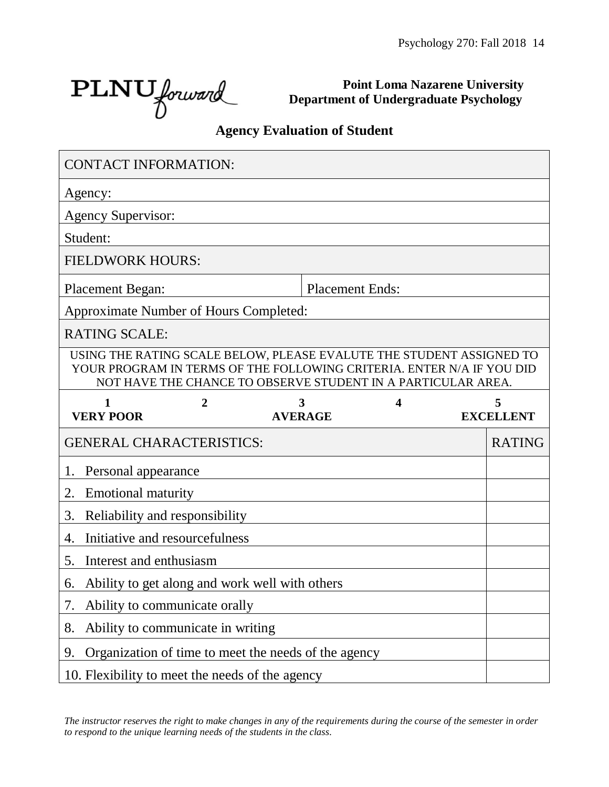PLNU forward

**Point Loma Nazarene University Department of Undergraduate Psychology**

#### **Agency Evaluation of Student**

| <b>CONTACT INFORMATION:</b>                                                                                                                                                                                   |                                   |                                                      |   |  |                  |
|---------------------------------------------------------------------------------------------------------------------------------------------------------------------------------------------------------------|-----------------------------------|------------------------------------------------------|---|--|------------------|
| Agency:                                                                                                                                                                                                       |                                   |                                                      |   |  |                  |
| <b>Agency Supervisor:</b>                                                                                                                                                                                     |                                   |                                                      |   |  |                  |
| Student:                                                                                                                                                                                                      |                                   |                                                      |   |  |                  |
| <b>FIELDWORK HOURS:</b>                                                                                                                                                                                       |                                   |                                                      |   |  |                  |
| <b>Placement Began:</b>                                                                                                                                                                                       |                                   | <b>Placement Ends:</b>                               |   |  |                  |
| Approximate Number of Hours Completed:                                                                                                                                                                        |                                   |                                                      |   |  |                  |
| <b>RATING SCALE:</b>                                                                                                                                                                                          |                                   |                                                      |   |  |                  |
| USING THE RATING SCALE BELOW, PLEASE EVALUTE THE STUDENT ASSIGNED TO<br>YOUR PROGRAM IN TERMS OF THE FOLLOWING CRITERIA. ENTER N/A IF YOU DID<br>NOT HAVE THE CHANCE TO OBSERVE STUDENT IN A PARTICULAR AREA. |                                   |                                                      |   |  |                  |
| 1<br><b>VERY POOR</b>                                                                                                                                                                                         | 2                                 | 3<br><b>AVERAGE</b>                                  | 4 |  | <b>EXCELLENT</b> |
| <b>GENERAL CHARACTERISTICS:</b>                                                                                                                                                                               |                                   |                                                      |   |  | <b>RATING</b>    |
| Personal appearance<br>1.                                                                                                                                                                                     |                                   |                                                      |   |  |                  |
|                                                                                                                                                                                                               |                                   |                                                      |   |  |                  |
| 2.<br><b>Emotional maturity</b>                                                                                                                                                                               |                                   |                                                      |   |  |                  |
| 3.                                                                                                                                                                                                            | Reliability and responsibility    |                                                      |   |  |                  |
| 4.                                                                                                                                                                                                            | Initiative and resourcefulness    |                                                      |   |  |                  |
| 5.<br>Interest and enthusiasm                                                                                                                                                                                 |                                   |                                                      |   |  |                  |
| 6.                                                                                                                                                                                                            |                                   | Ability to get along and work well with others       |   |  |                  |
| 7.                                                                                                                                                                                                            | Ability to communicate orally     |                                                      |   |  |                  |
| 8.                                                                                                                                                                                                            | Ability to communicate in writing |                                                      |   |  |                  |
| 9.                                                                                                                                                                                                            |                                   | Organization of time to meet the needs of the agency |   |  |                  |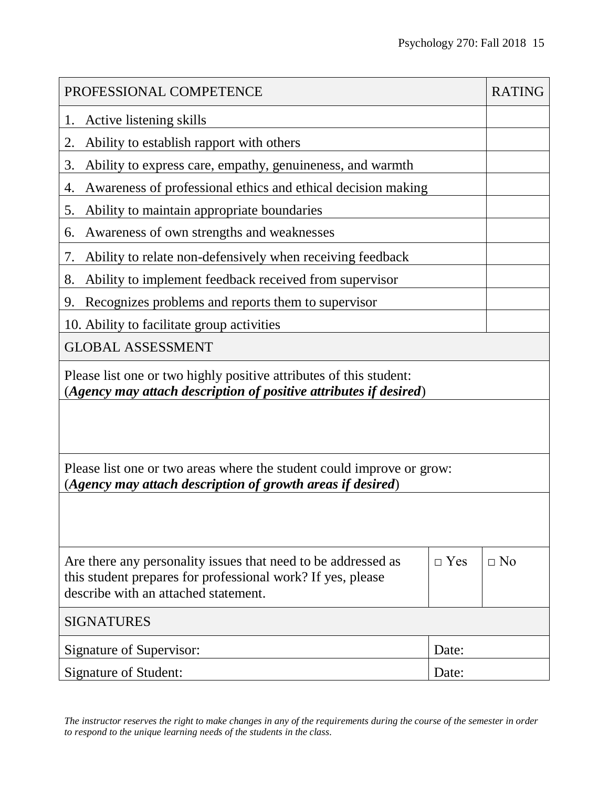| PROFESSIONAL COMPETENCE                                                                                                                                              |            |           |  |  |  |
|----------------------------------------------------------------------------------------------------------------------------------------------------------------------|------------|-----------|--|--|--|
| Active listening skills<br>1.                                                                                                                                        |            |           |  |  |  |
| Ability to establish rapport with others<br>2.                                                                                                                       |            |           |  |  |  |
| Ability to express care, empathy, genuineness, and warmth<br>3.                                                                                                      |            |           |  |  |  |
| Awareness of professional ethics and ethical decision making<br>4.                                                                                                   |            |           |  |  |  |
| 5.<br>Ability to maintain appropriate boundaries                                                                                                                     |            |           |  |  |  |
| Awareness of own strengths and weaknesses<br>6.                                                                                                                      |            |           |  |  |  |
| Ability to relate non-defensively when receiving feedback<br>7.                                                                                                      |            |           |  |  |  |
| Ability to implement feedback received from supervisor<br>8.                                                                                                         |            |           |  |  |  |
| Recognizes problems and reports them to supervisor<br>9.                                                                                                             |            |           |  |  |  |
| 10. Ability to facilitate group activities                                                                                                                           |            |           |  |  |  |
| <b>GLOBAL ASSESSMENT</b>                                                                                                                                             |            |           |  |  |  |
| Please list one or two highly positive attributes of this student:<br>(Agency may attach description of positive attributes if desired)                              |            |           |  |  |  |
| Please list one or two areas where the student could improve or grow:<br>(Agency may attach description of growth areas if desired)                                  |            |           |  |  |  |
|                                                                                                                                                                      |            |           |  |  |  |
| Are there any personality issues that need to be addressed as<br>this student prepares for professional work? If yes, please<br>describe with an attached statement. | $\Box$ Yes | $\Box$ No |  |  |  |
| <b>SIGNATURES</b>                                                                                                                                                    |            |           |  |  |  |
| Signature of Supervisor:                                                                                                                                             | Date:      |           |  |  |  |
| <b>Signature of Student:</b>                                                                                                                                         | Date:      |           |  |  |  |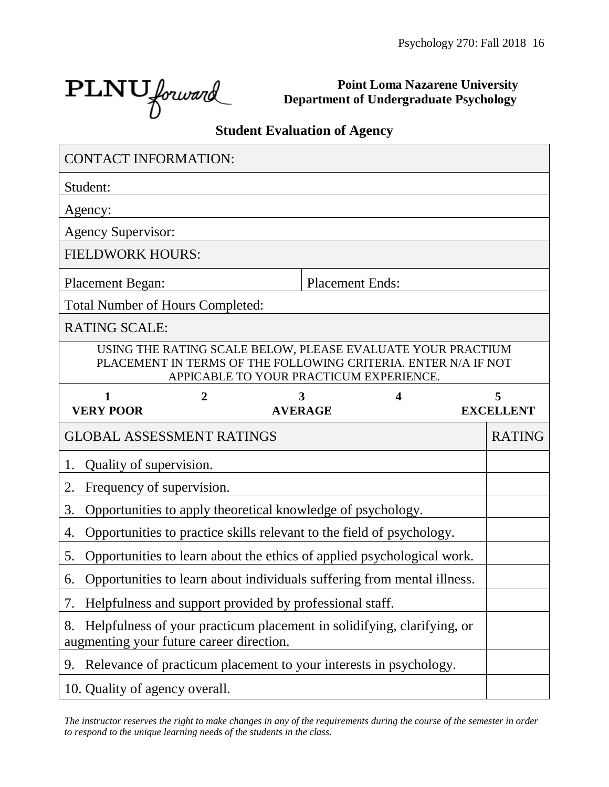┑

PLNU forward

Г

**Point Loma Nazarene University Department of Undergraduate Psychology**

#### **Student Evaluation of Agency**

| <b>CONTACT INFORMATION:</b>                                                                                              |   |                                         |  |   |                                                                                                                               |
|--------------------------------------------------------------------------------------------------------------------------|---|-----------------------------------------|--|---|-------------------------------------------------------------------------------------------------------------------------------|
| Student:                                                                                                                 |   |                                         |  |   |                                                                                                                               |
| Agency:                                                                                                                  |   |                                         |  |   |                                                                                                                               |
| <b>Agency Supervisor:</b>                                                                                                |   |                                         |  |   |                                                                                                                               |
| <b>FIELDWORK HOURS:</b>                                                                                                  |   |                                         |  |   |                                                                                                                               |
| <b>Placement Began:</b><br><b>Placement Ends:</b>                                                                        |   |                                         |  |   |                                                                                                                               |
| <b>Total Number of Hours Completed:</b>                                                                                  |   |                                         |  |   |                                                                                                                               |
| <b>RATING SCALE:</b>                                                                                                     |   |                                         |  |   |                                                                                                                               |
|                                                                                                                          |   | APPICABLE TO YOUR PRACTICUM EXPERIENCE. |  |   | USING THE RATING SCALE BELOW, PLEASE EVALUATE YOUR PRACTIUM<br>PLACEMENT IN TERMS OF THE FOLLOWING CRITERIA. ENTER N/A IF NOT |
| $\mathbf{1}$<br><b>VERY POOR</b>                                                                                         | 2 | 3<br><b>AVERAGE</b>                     |  | 4 | 5<br><b>EXCELLENT</b>                                                                                                         |
|                                                                                                                          |   |                                         |  |   |                                                                                                                               |
| <b>GLOBAL ASSESSMENT RATINGS</b>                                                                                         |   |                                         |  |   | <b>RATING</b>                                                                                                                 |
| Quality of supervision.<br>1.                                                                                            |   |                                         |  |   |                                                                                                                               |
| 2.<br>Frequency of supervision.                                                                                          |   |                                         |  |   |                                                                                                                               |
| 3.<br>Opportunities to apply theoretical knowledge of psychology.                                                        |   |                                         |  |   |                                                                                                                               |
| Opportunities to practice skills relevant to the field of psychology.<br>4.                                              |   |                                         |  |   |                                                                                                                               |
| 5.<br>Opportunities to learn about the ethics of applied psychological work.                                             |   |                                         |  |   |                                                                                                                               |
| Opportunities to learn about individuals suffering from mental illness.<br>6.                                            |   |                                         |  |   |                                                                                                                               |
| Helpfulness and support provided by professional staff.<br>7.                                                            |   |                                         |  |   |                                                                                                                               |
| Helpfulness of your practicum placement in solidifying, clarifying, or<br>8.<br>augmenting your future career direction. |   |                                         |  |   |                                                                                                                               |
| Relevance of practicum placement to your interests in psychology.<br>9.                                                  |   |                                         |  |   |                                                                                                                               |